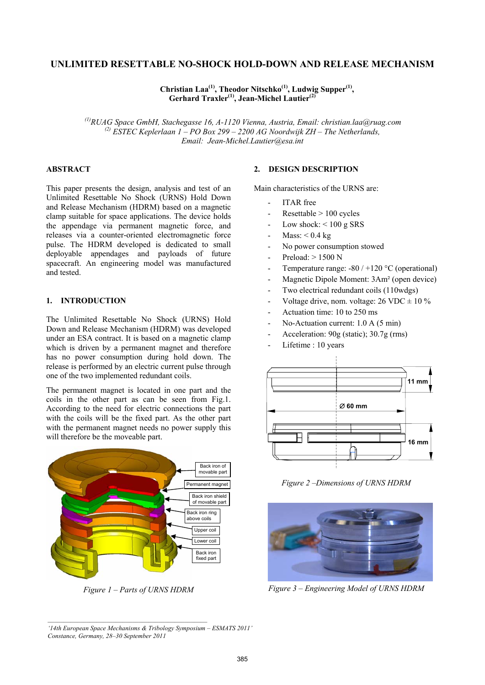# **UNLIMITED RESETTABLE NO-SHOCK HOLD-DOWN AND RELEASE MECHANISM**

Christian Laa<sup>(1)</sup>, Theodor Nitschko<sup>(1)</sup>, Ludwig Supper<sup>(1)</sup>, **Gerhard Traxler(1), Jean-Michel Lautier(2)**

 *(1)RUAG Space GmbH, Stachegasse 16, A-1120 Vienna, Austria, Email: christian.laa@ruag.com (2) ESTEC Keplerlaan 1 – PO Box 299 – 2200 AG Noordwijk ZH – The Netherlands, Email: Jean-Michel.Lautier@esa.int* 

#### **ABSTRACT**

This paper presents the design, analysis and test of an Unlimited Resettable No Shock (URNS) Hold Down and Release Mechanism (HDRM) based on a magnetic clamp suitable for space applications. The device holds the appendage via permanent magnetic force, and releases via a counter-oriented electromagnetic force pulse. The HDRM developed is dedicated to small deployable appendages and payloads of future spacecraft. An engineering model was manufactured and tested.

## **1. INTRODUCTION**

The Unlimited Resettable No Shock (URNS) Hold Down and Release Mechanism (HDRM) was developed under an ESA contract. It is based on a magnetic clamp which is driven by a permanent magnet and therefore has no power consumption during hold down. The release is performed by an electric current pulse through one of the two implemented redundant coils.

The permanent magnet is located in one part and the coils in the other part as can be seen from Fig.1. According to the need for electric connections the part with the coils will be the fixed part. As the other part with the permanent magnet needs no power supply this will therefore be the moveable part.



*Figure 1 – Parts of URNS HDRM* 

#### **2. DESIGN DESCRIPTION**

Main characteristics of the URNS are:

- ITAR free
- $Resettable > 100$  cycles
- Low shock:  $\leq 100$  g SRS
- $Mass: < 0.4$  kg
- No power consumption stowed
- $Preload: > 1500 N$
- Temperature range:  $-80 / +120$  °C (operational)
- Magnetic Dipole Moment: 3Am² (open device)
- Two electrical redundant coils (110wdgs)
- Voltage drive, nom. voltage:  $26 \text{ VDC} \pm 10 \%$
- Actuation time: 10 to 250 ms
- No-Actuation current: 1.0 A (5 min)
- Acceleration: 90g (static); 30.7g (rms)
- Lifetime : 10 years



*Figure 2 –Dimensions of URNS HDRM* 



*Figure 3 – Engineering Model of URNS HDRM* 

*'14th European Space Mechanisms & Tribology Symposium – ESMATS 2011' Constance, Germany, 28–30 September 2011*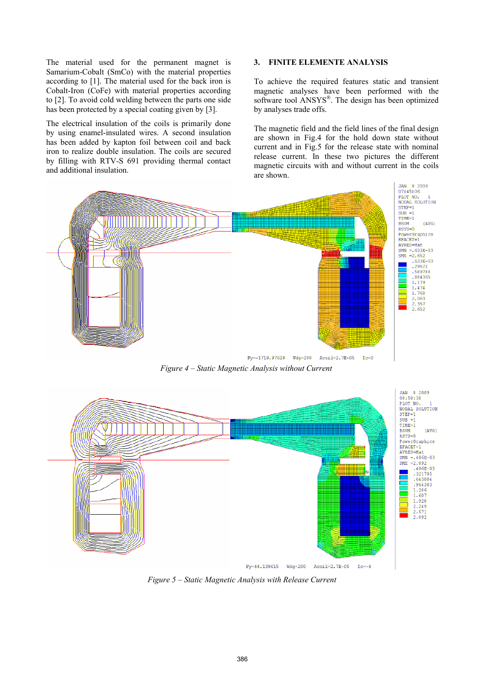The material used for the permanent magnet is Samarium-Cobalt (SmCo) with the material properties according to [1]. The material used for the back iron is Cobalt-Iron (CoFe) with material properties according to [2]. To avoid cold welding between the parts one side has been protected by a special coating given by [3].

The electrical insulation of the coils is primarily done by using enamel-insulated wires. A second insulation has been added by kapton foil between coil and back iron to realize double insulation. The coils are secured by filling with RTV-S 691 providing thermal contact and additional insulation.

#### **3. FINITE ELEMENTE ANALYSIS**

To achieve the required features static and transient magnetic analyses have been performed with the software tool ANSYS®. The design has been optimized by analyses trade offs.

The magnetic field and the field lines of the final design are shown in Fig.4 for the hold down state without current and in Fig.5 for the release state with nominal release current. In these two pictures the different magnetic circuits with and without current in the coils are shown.

 $Ic=0$ 



*Figure 4 – Static Magnetic Analysis without Current*



*Figure 5 – Static Magnetic Analysis with Release Current*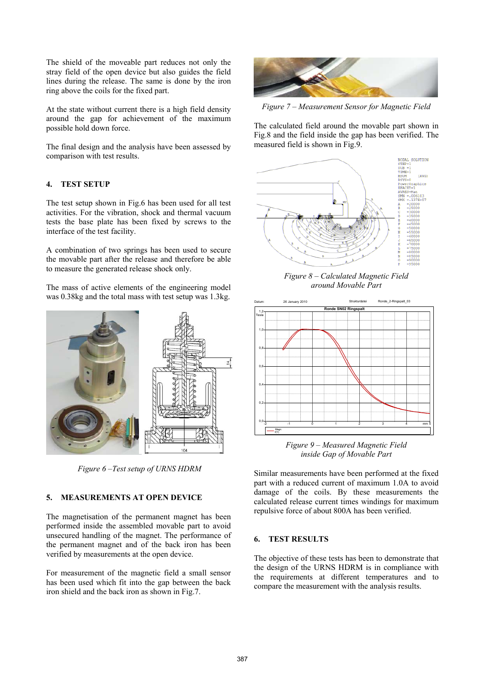The shield of the moveable part reduces not only the stray field of the open device but also guides the field lines during the release. The same is done by the iron ring above the coils for the fixed part.

At the state without current there is a high field density around the gap for achievement of the maximum possible hold down force.

The final design and the analysis have been assessed by comparison with test results.

## **4. TEST SETUP**

The test setup shown in Fig.6 has been used for all test activities. For the vibration, shock and thermal vacuum tests the base plate has been fixed by screws to the interface of the test facility.

A combination of two springs has been used to secure the movable part after the release and therefore be able to measure the generated release shock only.

The mass of active elements of the engineering model was 0.38kg and the total mass with test setup was 1.3kg.



 *Figure 6 –Test setup of URNS HDRM* 

### **5. MEASUREMENTS AT OPEN DEVICE**

The magnetisation of the permanent magnet has been performed inside the assembled movable part to avoid unsecured handling of the magnet. The performance of the permanent magnet and of the back iron has been verified by measurements at the open device.

For measurement of the magnetic field a small sensor has been used which fit into the gap between the back iron shield and the back iron as shown in Fig.7.



*Figure 7 – Measurement Sensor for Magnetic Field* 

The calculated field around the movable part shown in Fig.8 and the field inside the gap has been verified. The measured field is shown in Fig.9.



*Figure 8 – Calculated Magnetic Field around Movable Part* 



*Figure 9 – Measured Magnetic Field inside Gap of Movable Part* 

Similar measurements have been performed at the fixed part with a reduced current of maximum 1.0A to avoid damage of the coils. By these measurements the calculated release current times windings for maximum repulsive force of about 800A has been verified.

### **6. TEST RESULTS**

The objective of these tests has been to demonstrate that the design of the URNS HDRM is in compliance with the requirements at different temperatures and to compare the measurement with the analysis results.